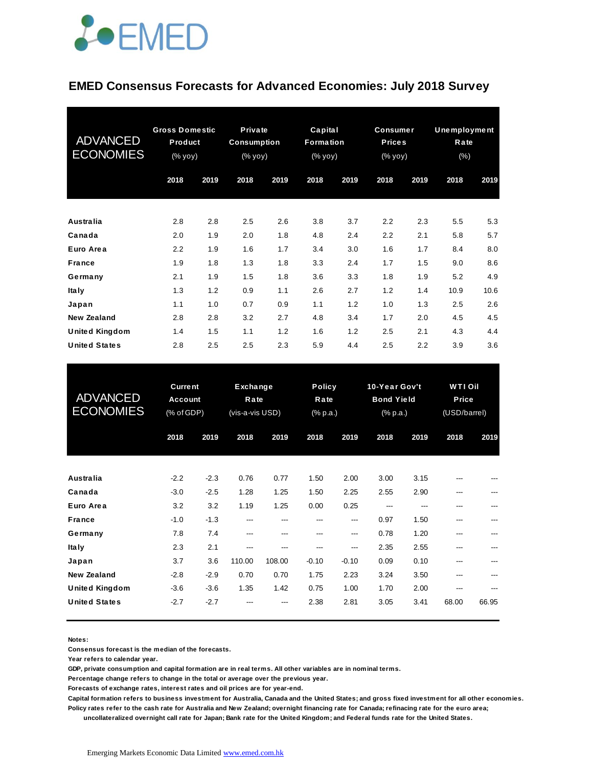

#### **EMED Consensus Forecasts for Advanced Economies: July 2018 Survey**

| <b>ADVANCED</b><br><b>ECONOMIES</b> | <b>Gross Domestic</b><br>Product<br>(% yoy) |      | Private<br><b>Consumption</b><br>$(% \mathsf{y}\mathsf{y}\mathsf{y})$ |      | Capital<br>Formation<br>(% yoy) |      | <b>Consumer</b><br><b>Prices</b><br>(% yoy) |      | Unemployment<br>Rate<br>$(\% )$ |      |
|-------------------------------------|---------------------------------------------|------|-----------------------------------------------------------------------|------|---------------------------------|------|---------------------------------------------|------|---------------------------------|------|
|                                     | 2018                                        | 2019 | 2018                                                                  | 2019 | 2018                            | 2019 | 2018                                        | 2019 | 2018                            | 2019 |
| <b>Australia</b>                    | 2.8                                         | 2.8  | 2.5                                                                   | 2.6  | 3.8                             | 3.7  | 2.2                                         | 2.3  | 5.5                             | 5.3  |
| Canada                              | 2.0                                         | 1.9  | 2.0                                                                   | 1.8  | 4.8                             | 2.4  | 2.2                                         | 2.1  | 5.8                             | 5.7  |
| Euro Area                           | 2.2                                         | 1.9  | 1.6                                                                   | 1.7  | 3.4                             | 3.0  | 1.6                                         | 1.7  | 8.4                             | 8.0  |
| <b>France</b>                       | 1.9                                         | 1.8  | 1.3                                                                   | 1.8  | 3.3                             | 2.4  | 1.7                                         | 1.5  | 9.0                             | 8.6  |
| Germany                             | 2.1                                         | 1.9  | 1.5                                                                   | 1.8  | 3.6                             | 3.3  | 1.8                                         | 1.9  | 5.2                             | 4.9  |
| <b>Italy</b>                        | 1.3                                         | 1.2  | 0.9                                                                   | 1.1  | 2.6                             | 2.7  | 1.2                                         | 1.4  | 10.9                            | 10.6 |
| Japan                               | 1.1                                         | 1.0  | 0.7                                                                   | 0.9  | 1.1                             | 1.2  | 1.0                                         | 1.3  | 2.5                             | 2.6  |
| <b>New Zealand</b>                  | 2.8                                         | 2.8  | 3.2                                                                   | 2.7  | 4.8                             | 3.4  | 1.7                                         | 2.0  | 4.5                             | 4.5  |
| <b>United Kingdom</b>               | 1.4                                         | 1.5  | 1.1                                                                   | 1.2  | 1.6                             | 1.2  | 2.5                                         | 2.1  | 4.3                             | 4.4  |
| <b>United States</b>                | 2.8                                         | 2.5  | 2.5                                                                   | 2.3  | 5.9                             | 4.4  | 2.5                                         | 2.2  | 3.9                             | 3.6  |

| <b>United States</b>                          | 2.8                                     | 2.5                  | 2.5                                        | 2.3                   | 5.9                    | 4.4                               | 2.5                  | 2.2                                                       | 3.9          | 3.6                                     |  |
|-----------------------------------------------|-----------------------------------------|----------------------|--------------------------------------------|-----------------------|------------------------|-----------------------------------|----------------------|-----------------------------------------------------------|--------------|-----------------------------------------|--|
| <b>ADVANCED</b><br><b>ECONOMIES</b>           | <b>Current</b><br>Account<br>(% of GDP) |                      | <b>Exchange</b><br>Rate<br>(vis-a-vis USD) |                       |                        | <b>Policy</b><br>Rate<br>(% p.a.) |                      | 10-Year Gov't<br><b>Bond Yield</b><br>$(% )^{2}(x, p, a)$ |              | <b>WTI Oil</b><br>Price<br>(USD/barrel) |  |
|                                               | 2018                                    | 2019                 | 2018                                       | 2019                  | 2018                   | 2019                              | 2018                 | 2019                                                      | 2018         | 2019                                    |  |
| <b>Australia</b>                              | $-2.2$                                  | $-2.3$               | 0.76                                       | 0.77                  | 1.50                   | 2.00                              | 3.00                 | 3.15                                                      |              |                                         |  |
| Canada<br>Euro Area                           | $-3.0$<br>3.2                           | $-2.5$<br>3.2        | 1.28<br>1.19                               | 1.25<br>1.25          | 1.50<br>0.00           | 2.25<br>0.25                      | 2.55<br>---          | 2.90                                                      |              |                                         |  |
| <b>France</b><br>Germany                      | $-1.0$<br>7.8                           | $-1.3$<br>7.4        | ---<br>---                                 | ---<br>---            | ---<br>---             | ---<br>---                        | 0.97<br>0.78         | 1.50<br>1.20                                              | ---<br>---   |                                         |  |
| <b>Italy</b><br>Japan<br><b>New Zealand</b>   | 2.3<br>3.7<br>$-2.8$                    | 2.1<br>3.6<br>$-2.9$ | ---<br>110.00<br>0.70                      | ---<br>108.00<br>0.70 | ---<br>$-0.10$<br>1.75 | ---<br>$-0.10$<br>2.23            | 2.35<br>0.09<br>3.24 | 2.55<br>0.10<br>3.50                                      | ---          |                                         |  |
| <b>United Kingdom</b><br><b>United States</b> | $-3.6$<br>$-2.7$                        | $-3.6$<br>$-2.7$     | 1.35                                       | 1.42                  | 0.75<br>2.38           | 1.00<br>2.81                      | 1.70<br>3.05         | 2.00<br>3.41                                              | ---<br>68.00 | 66.95                                   |  |
|                                               |                                         |                      |                                            |                       |                        |                                   |                      |                                                           |              |                                         |  |

**Notes:** 

**Consensus forecast is the median of the forecasts.**

**Year refers to calendar year.**

**GDP, private consumption and capital formation are in real terms. All other variables are in nominal terms.**

**Percentage change refers to change in the total or average over the previous year.**

**Forecasts of exchange rates, interest rates and oil prices are for year-end.**

**Capital formation refers to business investment for Australia, Canada and the United States; and gross fixed investment for all other economies. Policy rates refer to the cash rate for Australia and New Zealand; overnight financing rate for Canada; refinacing rate for the euro area;** 

 **uncollateralized overnight call rate for Japan; Bank rate for the United Kingdom; and Federal funds rate for the United States.**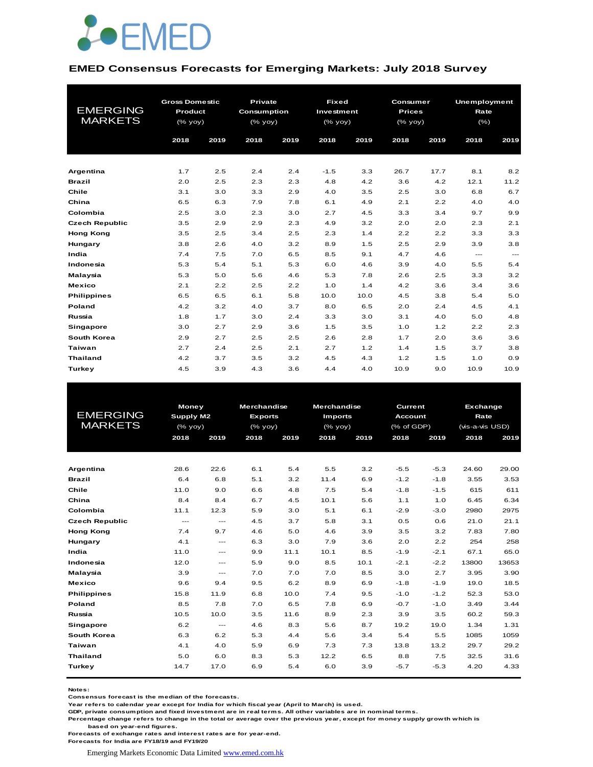

#### **EMED Consensus Forecasts for Emerging Markets: July 2018 Survey**

| <b>EMERGING</b><br><b>MARKETS</b> | <b>Gross Domestic</b><br>Product<br>$(%$ (% yoy) |      | Private<br><b>Consumption</b><br>(% yoy)<br>2018 | 2019 | <b>Fixed</b><br>Investment<br>(% yoy)<br>2018 | 2019 | Consumer<br><b>Prices</b><br>(% yoy)<br>2018 | 2019 | <b>Unemployment</b><br>Rate<br>$(\% )$<br>2018 | 2019  |
|-----------------------------------|--------------------------------------------------|------|--------------------------------------------------|------|-----------------------------------------------|------|----------------------------------------------|------|------------------------------------------------|-------|
|                                   | 2018                                             | 2019 |                                                  |      |                                               |      |                                              |      |                                                |       |
|                                   |                                                  |      |                                                  |      |                                               |      |                                              |      |                                                |       |
| Argentina                         | 1.7                                              | 2.5  | 2.4                                              | 2.4  | $-1.5$                                        | 3.3  | 26.7                                         | 17.7 | 8.1                                            | 8.2   |
| <b>Brazil</b>                     | 2.0                                              | 2.5  | 2.3                                              | 2.3  | 4.8                                           | 4.2  | 3.6                                          | 4.2  | 12.1                                           | 11.2  |
| Chile                             | 3.1                                              | 3.0  | 3.3                                              | 2.9  | 4.0                                           | 3.5  | 2.5                                          | 3.0  | 6.8                                            | 6.7   |
| China                             | 6.5                                              | 6.3  | 7.9                                              | 7.8  | 6.1                                           | 4.9  | 2.1                                          | 2.2  | 4.0                                            | 4.0   |
| Colombia                          | 2.5                                              | 3.0  | 2.3                                              | 3.0  | 2.7                                           | 4.5  | 3.3                                          | 3.4  | 9.7                                            | 9.9   |
| <b>Czech Republic</b>             | 3.5                                              | 2.9  | 2.9                                              | 2.3  | 4.9                                           | 3.2  | 2.0                                          | 2.0  | 2.3                                            | 2.1   |
| <b>Hong Kong</b>                  | 3.5                                              | 2.5  | 3.4                                              | 2.5  | 2.3                                           | 1.4  | 2.2                                          | 2.2  | 3.3                                            | 3.3   |
| Hungary                           | 3.8                                              | 2.6  | 4.0                                              | 3.2  | 8.9                                           | 1.5  | 2.5                                          | 2.9  | 3.9                                            | 3.8   |
| India                             | 7.4                                              | 7.5  | 7.0                                              | 6.5  | 8.5                                           | 9.1  | 4.7                                          | 4.6  | $\qquad \qquad \cdots$                         | $---$ |
| Indonesia                         | 5.3                                              | 5.4  | 5.1                                              | 5.3  | 6.0                                           | 4.6  | 3.9                                          | 4.0  | 5.5                                            | 5.4   |
| Malaysia                          | 5.3                                              | 5.0  | 5.6                                              | 4.6  | 5.3                                           | 7.8  | 2.6                                          | 2.5  | 3.3                                            | 3.2   |
| <b>Mexico</b>                     | 2.1                                              | 2.2  | 2.5                                              | 2.2  | 1.0                                           | 1.4  | 4.2                                          | 3.6  | 3.4                                            | 3.6   |
| <b>Philippines</b>                | 6.5                                              | 6.5  | 6.1                                              | 5.8  | 10.0                                          | 10.0 | 4.5                                          | 3.8  | 5.4                                            | 5.0   |
| Poland                            | 4.2                                              | 3.2  | 4.0                                              | 3.7  | 8.0                                           | 6.5  | 2.0                                          | 2.4  | 4.5                                            | 4.1   |
| Russia                            | 1.8                                              | 1.7  | 3.0                                              | 2.4  | 3.3                                           | 3.0  | 3.1                                          | 4.0  | 5.0                                            | 4.8   |
| Singapore                         | 3.0                                              | 2.7  | 2.9                                              | 3.6  | 1.5                                           | 3.5  | 1.0                                          | 1.2  | 2.2                                            | 2.3   |
| South Korea                       | 2.9                                              | 2.7  | 2.5                                              | 2.5  | 2.6                                           | 2.8  | 1.7                                          | 2.0  | 3.6                                            | 3.6   |
| <b>Taiwan</b>                     | 2.7                                              | 2.4  | 2.5                                              | 2.1  | 2.7                                           | 1.2  | 1.4                                          | 1.5  | 3.7                                            | 3.8   |
| <b>Thailand</b>                   | 4.2                                              | 3.7  | 3.5                                              | 3.2  | 4.5                                           | 4.3  | 1.2                                          | 1.5  | 1.0                                            | 0.9   |
| <b>Turkey</b>                     | 4.5                                              | 3.9  | 4.3                                              | 3.6  | 4.4                                           | 4.0  | 10.9                                         | 9.0  | 10.9                                           | 10.9  |

|                       | <b>Money</b>  |                                          | <b>Merchandise</b> |      | <b>Merchandise</b> |      | Current        |        |                                                                                                                     |       |  |  |
|-----------------------|---------------|------------------------------------------|--------------------|------|--------------------|------|----------------|--------|---------------------------------------------------------------------------------------------------------------------|-------|--|--|
| <b>EMERGING</b>       | Supply M2     |                                          | <b>Exports</b>     |      | <b>Imports</b>     |      | <b>Account</b> |        | Exchange<br>Rate<br>(vis-a-vis USD)<br>2018<br>29.00<br>24.60<br>3.55<br>615<br>6.45<br>2980<br>21.0<br>7.83<br>254 |       |  |  |
| <b>MARKETS</b>        | (% yoy)       |                                          | $(%$ (% yoy)       |      | $(%$ (% yoy)       |      | (% of GDP)     |        |                                                                                                                     |       |  |  |
|                       | 2018          | 2019                                     | 2018               | 2019 | 2018               | 2019 | 2018           | 2019   |                                                                                                                     | 2019  |  |  |
|                       |               |                                          |                    |      |                    |      |                |        |                                                                                                                     |       |  |  |
|                       |               |                                          |                    |      |                    |      |                |        |                                                                                                                     |       |  |  |
| Argentina             | 28.6          | 22.6                                     | 6.1                | 5.4  | 5.5                | 3.2  | $-5.5$         | $-5.3$ |                                                                                                                     |       |  |  |
| Brazil                | 6.4           | 6.8                                      | 5.1                | 3.2  | 11.4               | 6.9  | $-1.2$         | $-1.8$ |                                                                                                                     | 3.53  |  |  |
| Chile                 | 11.0          | 9.0                                      | 6.6                | 4.8  | 7.5                | 5.4  | $-1.8$         | $-1.5$ |                                                                                                                     | 611   |  |  |
| China                 | 8.4           | 8.4                                      | 6.7                | 4.5  | 10.1               | 5.6  | 1.1            | 1.0    |                                                                                                                     | 6.34  |  |  |
| Colombia              | 11.1          | 12.3                                     | 5.9                | 3.0  | 5.1                | 6.1  | $-2.9$         | $-3.0$ |                                                                                                                     | 2975  |  |  |
| <b>Czech Republic</b> | $\frac{1}{2}$ | $\frac{1}{2}$                            | 4.5                | 3.7  | 5.8                | 3.1  | 0.5            | 0.6    |                                                                                                                     | 21.1  |  |  |
| <b>Hong Kong</b>      | 7.4           | 9.7                                      | 4.6                | 5.0  | 4.6                | 3.9  | 3.5            | 3.2    |                                                                                                                     | 7.80  |  |  |
| Hungary               | 4.1           | $---$                                    | 6.3                | 3.0  | 7.9                | 3.6  | 2.0            | 2.2    |                                                                                                                     | 258   |  |  |
| India                 | 11.0          | $\hspace{0.05cm} \ldots \hspace{0.05cm}$ | 9.9                | 11.1 | 10.1               | 8.5  | $-1.9$         | $-2.1$ | 67.1                                                                                                                | 65.0  |  |  |
| Indonesia             | 12.0          | $---$                                    | 5.9                | 9.0  | 8.5                | 10.1 | $-2.1$         | $-2.2$ | 13800                                                                                                               | 13653 |  |  |
| Malaysia              | 3.9           | $---$                                    | 7.0                | 7.0  | 7.0                | 8.5  | 3.0            | 2.7    | 3.95                                                                                                                | 3.90  |  |  |
| <b>Mexico</b>         | 9.6           | 9.4                                      | 9.5                | 6.2  | 8.9                | 6.9  | $-1.8$         | $-1.9$ | 19.0                                                                                                                | 18.5  |  |  |
| <b>Philippines</b>    | 15.8          | 11.9                                     | 6.8                | 10.0 | 7.4                | 9.5  | $-1.0$         | $-1.2$ | 52.3                                                                                                                | 53.0  |  |  |
| Poland                | 8.5           | 7.8                                      | 7.0                | 6.5  | 7.8                | 6.9  | $-0.7$         | $-1.0$ | 3.49                                                                                                                | 3.44  |  |  |
| Russia                | 10.5          | 10.0                                     | 3.5                | 11.6 | 8.9                | 2.3  | 3.9            | 3.5    | 60.2                                                                                                                | 59.3  |  |  |
| Singapore             | 6.2           | $\frac{1}{2}$                            | 4.6                | 8.3  | 5.6                | 8.7  | 19.2           | 19.0   | 1.34                                                                                                                | 1.31  |  |  |
| South Korea           | 6.3           | 6.2                                      | 5.3                | 4.4  | 5.6                | 3.4  | 5.4            | 5.5    | 1085                                                                                                                | 1059  |  |  |
| <b>Taiwan</b>         | 4.1           | 4.0                                      | 5.9                | 6.9  | 7.3                | 7.3  | 13.8           | 13.2   | 29.7                                                                                                                | 29.2  |  |  |
| <b>Thailand</b>       | 5.0           | 6.0                                      | 8.3                | 5.3  | 12.2               | 6.5  | 8.8            | 7.5    | 32.5                                                                                                                | 31.6  |  |  |
| Turkey                | 14.7          | 17.0                                     | 6.9                | 5.4  | 6.0                | 3.9  | $-5.7$         | $-5.3$ | 4.20                                                                                                                | 4.33  |  |  |
|                       |               |                                          |                    |      |                    |      |                |        |                                                                                                                     |       |  |  |

**Notes:** 

**Consensus forecast is the median of the forecasts.**

**Year refers to calendar year except for India for which fiscal year (April to March) is used. GDP, private consumption and fixed investment are in real terms. All other variables are in nominal terms.**

**Percentage change refers to change in the total or average over the previous year, except for money supply growth which is based on year-end figures.**

**Forecasts of exchange rates and interest rates are for year-end.**

**Forecasts for India are FY18/19 and FY19/20**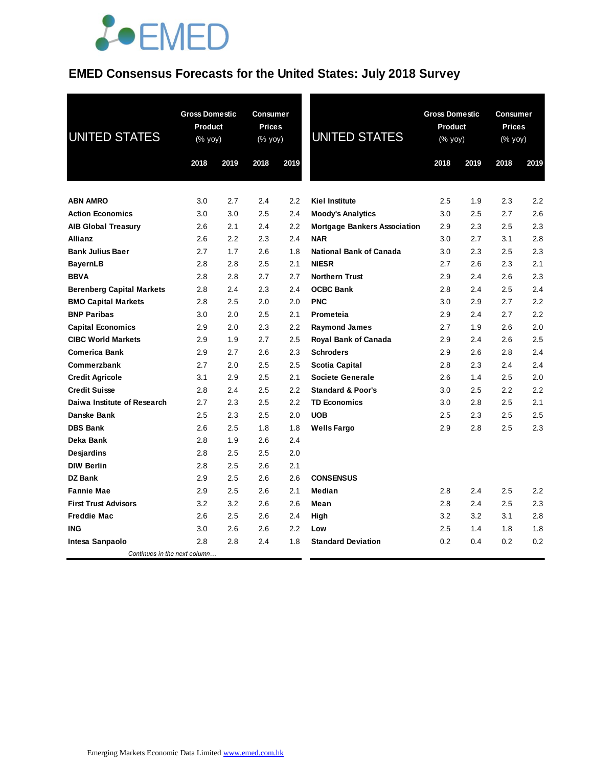# **JOEMED**

## **EMED Consensus Forecasts for the United States: July 2018 Survey**

| <b>UNITED STATES</b>             | <b>Gross Domestic</b><br>Product<br>(% yoy)<br>2018<br>2019 |     | <b>Consumer</b><br><b>Prices</b><br>(% yoy)<br>2018<br>2019 |     | <b>UNITED STATES</b>                | <b>Gross Domestic</b><br>Product<br>(% yoy)<br>2018<br>2019 |     | <b>Consumer</b><br><b>Prices</b><br>(% yoy)<br>2018<br>2019 |     |
|----------------------------------|-------------------------------------------------------------|-----|-------------------------------------------------------------|-----|-------------------------------------|-------------------------------------------------------------|-----|-------------------------------------------------------------|-----|
|                                  |                                                             |     |                                                             |     |                                     |                                                             |     |                                                             |     |
| <b>ABN AMRO</b>                  | 3.0                                                         | 2.7 | 2.4                                                         | 2.2 | Kiel Institute                      | 2.5                                                         | 1.9 | 2.3                                                         | 2.2 |
| <b>Action Economics</b>          | 3.0                                                         | 3.0 | 2.5                                                         | 2.4 | <b>Moody's Analytics</b>            | 3.0                                                         | 2.5 | 2.7                                                         | 2.6 |
| <b>AIB Global Treasury</b>       | 2.6                                                         | 2.1 | 2.4                                                         | 2.2 | <b>Mortgage Bankers Association</b> | 2.9                                                         | 2.3 | 2.5                                                         | 2.3 |
| <b>Allianz</b>                   | 2.6                                                         | 2.2 | 2.3                                                         | 2.4 | <b>NAR</b>                          | 3.0                                                         | 2.7 | 3.1                                                         | 2.8 |
| <b>Bank Julius Baer</b>          | 2.7                                                         | 1.7 | 2.6                                                         | 1.8 | <b>National Bank of Canada</b>      | 3.0                                                         | 2.3 | 2.5                                                         | 2.3 |
| <b>BayernLB</b>                  | 2.8                                                         | 2.8 | 2.5                                                         | 2.1 | <b>NIESR</b>                        | 2.7                                                         | 2.6 | 2.3                                                         | 2.1 |
| <b>BBVA</b>                      | 2.8                                                         | 2.8 | 2.7                                                         | 2.7 | <b>Northern Trust</b>               | 2.9                                                         | 2.4 | 2.6                                                         | 2.3 |
| <b>Berenberg Capital Markets</b> | 2.8                                                         | 2.4 | 2.3                                                         | 2.4 | <b>OCBC Bank</b>                    | 2.8                                                         | 2.4 | 2.5                                                         | 2.4 |
| <b>BMO Capital Markets</b>       | 2.8                                                         | 2.5 | 2.0                                                         | 2.0 | <b>PNC</b>                          | 3.0                                                         | 2.9 | 2.7                                                         | 2.2 |
| <b>BNP Paribas</b>               | 3.0                                                         | 2.0 | 2.5                                                         | 2.1 | Prometeia                           | 2.9                                                         | 2.4 | 2.7                                                         | 2.2 |
| <b>Capital Economics</b>         | 2.9                                                         | 2.0 | 2.3                                                         | 2.2 | <b>Raymond James</b>                | 2.7                                                         | 1.9 | 2.6                                                         | 2.0 |
| <b>CIBC World Markets</b>        | 2.9                                                         | 1.9 | 2.7                                                         | 2.5 | Royal Bank of Canada                | 2.9                                                         | 2.4 | 2.6                                                         | 2.5 |
| <b>Comerica Bank</b>             | 2.9                                                         | 2.7 | 2.6                                                         | 2.3 | <b>Schroders</b>                    | 2.9                                                         | 2.6 | 2.8                                                         | 2.4 |
| Commerzbank                      | 2.7                                                         | 2.0 | 2.5                                                         | 2.5 | <b>Scotia Capital</b>               | 2.8                                                         | 2.3 | 2.4                                                         | 2.4 |
| <b>Credit Agricole</b>           | 3.1                                                         | 2.9 | 2.5                                                         | 2.1 | <b>Societe Generale</b>             | 2.6                                                         | 1.4 | 2.5                                                         | 2.0 |
| <b>Credit Suisse</b>             | 2.8                                                         | 2.4 | 2.5                                                         | 2.2 | <b>Standard &amp; Poor's</b>        | 3.0                                                         | 2.5 | 2.2                                                         | 2.2 |
| Daiwa Institute of Research      | 2.7                                                         | 2.3 | 2.5                                                         | 2.2 | <b>TD Economics</b>                 | 3.0                                                         | 2.8 | 2.5                                                         | 2.1 |
| Danske Bank                      | 2.5                                                         | 2.3 | 2.5                                                         | 2.0 | <b>UOB</b>                          | 2.5                                                         | 2.3 | 2.5                                                         | 2.5 |
| <b>DBS Bank</b>                  | 2.6                                                         | 2.5 | 1.8                                                         | 1.8 | <b>Wells Fargo</b>                  | 2.9                                                         | 2.8 | 2.5                                                         | 2.3 |
| Deka Bank                        | 2.8                                                         | 1.9 | 2.6                                                         | 2.4 |                                     |                                                             |     |                                                             |     |
| <b>Desjardins</b>                | 2.8                                                         | 2.5 | 2.5                                                         | 2.0 |                                     |                                                             |     |                                                             |     |
| <b>DIW Berlin</b>                | 2.8                                                         | 2.5 | 2.6                                                         | 2.1 |                                     |                                                             |     |                                                             |     |
| <b>DZ Bank</b>                   | 2.9                                                         | 2.5 | 2.6                                                         | 2.6 | <b>CONSENSUS</b>                    |                                                             |     |                                                             |     |
| <b>Fannie Mae</b>                | 2.9                                                         | 2.5 | 2.6                                                         | 2.1 | Median                              | 2.8                                                         | 2.4 | 2.5                                                         | 2.2 |
| <b>First Trust Advisors</b>      | 3.2                                                         | 3.2 | 2.6                                                         | 2.6 | Mean                                | 2.8                                                         | 2.4 | 2.5                                                         | 2.3 |
| <b>Freddie Mac</b>               | 2.6                                                         | 2.5 | 2.6                                                         | 2.4 | High                                | 3.2                                                         | 3.2 | 3.1                                                         | 2.8 |
| <b>ING</b>                       | 3.0                                                         | 2.6 | 2.6                                                         | 2.2 | Low                                 | 2.5                                                         | 1.4 | 1.8                                                         | 1.8 |
| Intesa Sanpaolo                  | 2.8                                                         | 2.8 | 2.4                                                         | 1.8 | <b>Standard Deviation</b>           | 0.2                                                         | 0.4 | 0.2                                                         | 0.2 |
| Continues in the next column     |                                                             |     |                                                             |     |                                     |                                                             |     |                                                             |     |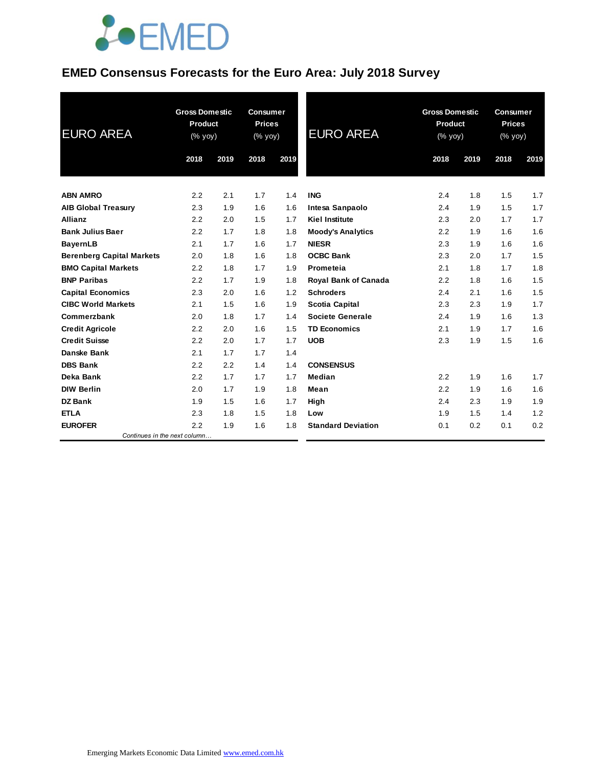

## **EMED Consensus Forecasts for the Euro Area: July 2018 Survey**

| <b>EURO AREA</b>                 | <b>Gross Domestic</b><br><b>Product</b><br>(% yoy) |      | <b>Consumer</b><br><b>Prices</b><br>(% yoy) |      | <b>EURO AREA</b>            | <b>Gross Domestic</b><br>Product<br>(% yoy) |      | <b>Consumer</b><br><b>Prices</b><br>(% yoy) |      |
|----------------------------------|----------------------------------------------------|------|---------------------------------------------|------|-----------------------------|---------------------------------------------|------|---------------------------------------------|------|
|                                  | 2018                                               | 2019 | 2018                                        | 2019 |                             | 2018                                        | 2019 | 2018                                        | 2019 |
| <b>ABN AMRO</b>                  | 2.2                                                | 2.1  | 1.7                                         | 1.4  | <b>ING</b>                  | 2.4                                         | 1.8  | 1.5                                         | 1.7  |
| <b>AIB Global Treasury</b>       | 2.3                                                | 1.9  | 1.6                                         | 1.6  | Intesa Sanpaolo             | 2.4                                         | 1.9  | 1.5                                         | 1.7  |
| <b>Allianz</b>                   | 2.2                                                | 2.0  | 1.5                                         | 1.7  | <b>Kiel Institute</b>       | 2.3                                         | 2.0  | 1.7                                         | 1.7  |
| <b>Bank Julius Baer</b>          | 2.2                                                | 1.7  | 1.8                                         | 1.8  | <b>Moody's Analytics</b>    | 2.2                                         | 1.9  | 1.6                                         | 1.6  |
| <b>BayernLB</b>                  | 2.1                                                | 1.7  | 1.6                                         | 1.7  | <b>NIESR</b>                | 2.3                                         | 1.9  | 1.6                                         | 1.6  |
| <b>Berenberg Capital Markets</b> | 2.0                                                | 1.8  | 1.6                                         | 1.8  | <b>OCBC Bank</b>            | 2.3                                         | 2.0  | 1.7                                         | 1.5  |
| <b>BMO Capital Markets</b>       | 2.2                                                | 1.8  | 1.7                                         | 1.9  | Prometeia                   | 2.1                                         | 1.8  | 1.7                                         | 1.8  |
| <b>BNP Paribas</b>               | 2.2                                                | 1.7  | 1.9                                         | 1.8  | <b>Royal Bank of Canada</b> | 2.2                                         | 1.8  | 1.6                                         | 1.5  |
| <b>Capital Economics</b>         | 2.3                                                | 2.0  | 1.6                                         | 1.2  | <b>Schroders</b>            | 2.4                                         | 2.1  | 1.6                                         | 1.5  |
| <b>CIBC World Markets</b>        | 2.1                                                | 1.5  | 1.6                                         | 1.9  | <b>Scotia Capital</b>       | 2.3                                         | 2.3  | 1.9                                         | 1.7  |
| Commerzbank                      | 2.0                                                | 1.8  | 1.7                                         | 1.4  | Societe Generale            | 2.4                                         | 1.9  | 1.6                                         | 1.3  |
| <b>Credit Agricole</b>           | 2.2                                                | 2.0  | 1.6                                         | 1.5  | <b>TD Economics</b>         | 2.1                                         | 1.9  | 1.7                                         | 1.6  |
| <b>Credit Suisse</b>             | 2.2                                                | 2.0  | 1.7                                         | 1.7  | <b>UOB</b>                  | 2.3                                         | 1.9  | 1.5                                         | 1.6  |
| Danske Bank                      | 2.1                                                | 1.7  | 1.7                                         | 1.4  |                             |                                             |      |                                             |      |
| <b>DBS Bank</b>                  | 2.2                                                | 2.2  | 1.4                                         | 1.4  | <b>CONSENSUS</b>            |                                             |      |                                             |      |
| Deka Bank                        | 2.2                                                | 1.7  | 1.7                                         | 1.7  | Median                      | 2.2                                         | 1.9  | 1.6                                         | 1.7  |
| <b>DIW Berlin</b>                | 2.0                                                | 1.7  | 1.9                                         | 1.8  | Mean                        | 2.2                                         | 1.9  | 1.6                                         | 1.6  |
| <b>DZ Bank</b>                   | 1.9                                                | 1.5  | 1.6                                         | 1.7  | High                        | 2.4                                         | 2.3  | 1.9                                         | 1.9  |
| <b>ETLA</b>                      | 2.3                                                | 1.8  | 1.5                                         | 1.8  | Low                         | 1.9                                         | 1.5  | 1.4                                         | 1.2  |
| <b>EUROFER</b>                   | 2.2                                                | 1.9  | 1.6                                         | 1.8  | <b>Standard Deviation</b>   | 0.1                                         | 0.2  | 0.1                                         | 0.2  |
| Continues in the next column     |                                                    |      |                                             |      |                             |                                             |      |                                             |      |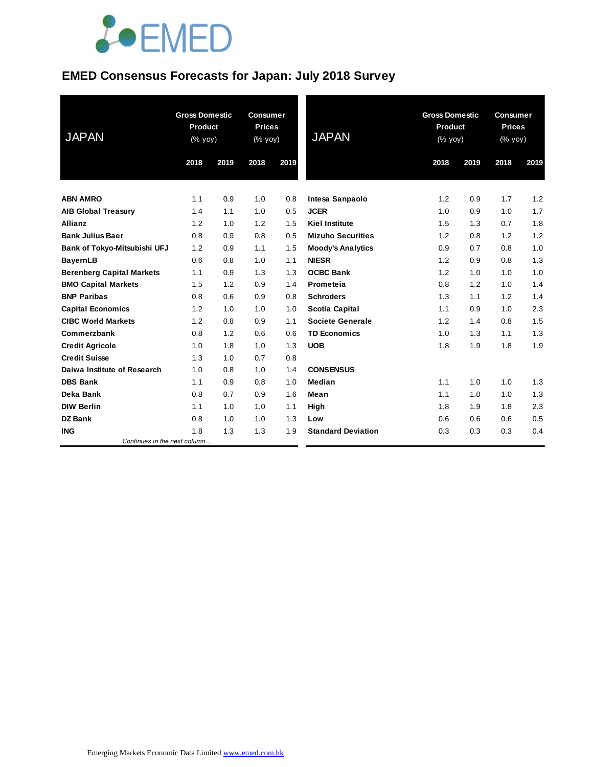# **JOEMED**

### **EMED Consensus Forecasts for Japan: July 2018 Survey**

| <b>JAPAN</b>                     | <b>Gross Domestic</b><br><b>Product</b><br>(% yoy) |      | <b>Consumer</b><br><b>Prices</b><br>(% yoy) |      | <b>JAPAN</b>              | <b>Gross Domestic</b><br>Product<br>(% yoy) |      | <b>Consumer</b><br><b>Prices</b><br>(% yoy) |      |
|----------------------------------|----------------------------------------------------|------|---------------------------------------------|------|---------------------------|---------------------------------------------|------|---------------------------------------------|------|
|                                  | 2018                                               | 2019 | 2018                                        | 2019 |                           | 2018                                        | 2019 | 2018                                        | 2019 |
| <b>ABN AMRO</b>                  | 1.1                                                | 0.9  | 1.0                                         | 0.8  | Intesa Sanpaolo           | 1.2                                         | 0.9  | 1.7                                         | 1.2  |
| <b>AIB Global Treasury</b>       | 1.4                                                | 1.1  | 1.0                                         | 0.5  | <b>JCER</b>               | 1.0                                         | 0.9  | 1.0                                         | 1.7  |
| <b>Allianz</b>                   | 1.2                                                | 1.0  | 1.2                                         | 1.5  | <b>Kiel Institute</b>     | 1.5                                         | 1.3  | 0.7                                         | 1.8  |
| <b>Bank Julius Baer</b>          | 0.8                                                | 0.9  | 0.8                                         | 0.5  | <b>Mizuho Securities</b>  | 1.2                                         | 0.8  | 1.2                                         | 1.2  |
| Bank of Tokyo-Mitsubishi UFJ     | 1.2                                                | 0.9  | 1.1                                         | 1.5  | <b>Moody's Analytics</b>  | 0.9                                         | 0.7  | 0.8                                         | 1.0  |
| <b>BayernLB</b>                  | 0.6                                                | 0.8  | 1.0                                         | 1.1  | <b>NIESR</b>              | 1.2                                         | 0.9  | 0.8                                         | 1.3  |
| <b>Berenberg Capital Markets</b> | 1.1                                                | 0.9  | 1.3                                         | 1.3  | <b>OCBC Bank</b>          | 1.2                                         | 1.0  | 1.0                                         | 1.0  |
| <b>BMO Capital Markets</b>       | 1.5                                                | 1.2  | 0.9                                         | 1.4  | Prometeia                 | 0.8                                         | 1.2  | 1.0                                         | 1.4  |
| <b>BNP Paribas</b>               | 0.8                                                | 0.6  | 0.9                                         | 0.8  | <b>Schroders</b>          | 1.3                                         | 1.1  | 1.2                                         | 1.4  |
| <b>Capital Economics</b>         | 1.2                                                | 1.0  | 1.0                                         | 1.0  | <b>Scotia Capital</b>     | 1.1                                         | 0.9  | 1.0                                         | 2.3  |
| <b>CIBC World Markets</b>        | 1.2                                                | 0.8  | 0.9                                         | 1.1  | <b>Societe Generale</b>   | 1.2                                         | 1.4  | 0.8                                         | 1.5  |
| Commerzbank                      | 0.8                                                | 1.2  | 0.6                                         | 0.6  | <b>TD Economics</b>       | 1.0                                         | 1.3  | 1.1                                         | 1.3  |
| <b>Credit Agricole</b>           | 1.0                                                | 1.8  | 1.0                                         | 1.3  | <b>UOB</b>                | 1.8                                         | 1.9  | 1.8                                         | 1.9  |
| <b>Credit Suisse</b>             | 1.3                                                | 1.0  | 0.7                                         | 0.8  |                           |                                             |      |                                             |      |
| Daiwa Institute of Research      | 1.0                                                | 0.8  | 1.0                                         | 1.4  | <b>CONSENSUS</b>          |                                             |      |                                             |      |
| <b>DBS Bank</b>                  | 1.1                                                | 0.9  | 0.8                                         | 1.0  | Median                    | 1.1                                         | 1.0  | 1.0                                         | 1.3  |
| Deka Bank                        | 0.8                                                | 0.7  | 0.9                                         | 1.6  | Mean                      | 1.1                                         | 1.0  | 1.0                                         | 1.3  |
| <b>DIW Berlin</b>                | 1.1                                                | 1.0  | 1.0                                         | 1.1  | High                      | 1.8                                         | 1.9  | 1.8                                         | 2.3  |
| <b>DZ Bank</b>                   | 0.8                                                | 1.0  | 1.0                                         | 1.3  | Low                       | 0.6                                         | 0.6  | 0.6                                         | 0.5  |
| <b>ING</b>                       | 1.8                                                | 1.3  | 1.3                                         | 1.9  | <b>Standard Deviation</b> | 0.3                                         | 0.3  | 0.3                                         | 0.4  |
| Continues in the next column     |                                                    |      |                                             |      |                           |                                             |      |                                             |      |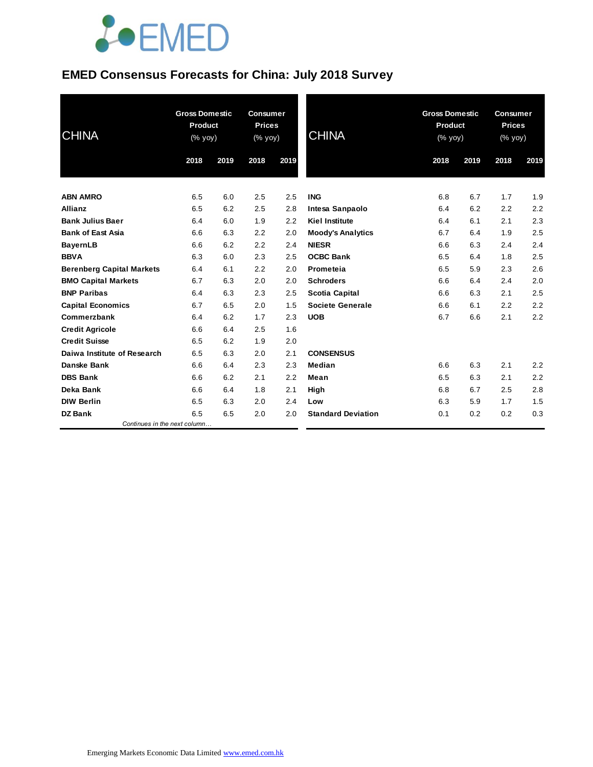# **JOEMED**

## **EMED Consensus Forecasts for China: July 2018 Survey**

| <b>CHINA</b>                     | <b>Gross Domestic</b><br><b>Product</b><br>$(% \mathsf{Y}^{\prime }\mathsf{Y}^{\prime }\mathsf{Y}^{\prime })$ |      | <b>Consumer</b><br><b>Prices</b><br>(% yoy) |      | <b>CHINA</b>              | <b>Gross Domestic</b><br>Product<br>$(% \mathsf{Y}^{\prime }\mathsf{Y}^{\prime }\mathsf{Y}^{\prime })$ |      | <b>Consumer</b><br><b>Prices</b><br>(% yoy) |      |
|----------------------------------|---------------------------------------------------------------------------------------------------------------|------|---------------------------------------------|------|---------------------------|--------------------------------------------------------------------------------------------------------|------|---------------------------------------------|------|
|                                  | 2018                                                                                                          | 2019 | 2018                                        | 2019 |                           | 2018                                                                                                   | 2019 | 2018                                        | 2019 |
| <b>ABN AMRO</b>                  | 6.5                                                                                                           | 6.0  | 2.5                                         | 2.5  | <b>ING</b>                | 6.8                                                                                                    | 6.7  | 1.7                                         | 1.9  |
| <b>Allianz</b>                   | 6.5                                                                                                           | 6.2  | 2.5                                         | 2.8  | Intesa Sanpaolo           | 6.4                                                                                                    | 6.2  | 2.2                                         | 2.2  |
| <b>Bank Julius Baer</b>          | 6.4                                                                                                           | 6.0  | 1.9                                         | 2.2  | <b>Kiel Institute</b>     | 6.4                                                                                                    | 6.1  | 2.1                                         | 2.3  |
| <b>Bank of East Asia</b>         | 6.6                                                                                                           | 6.3  | 2.2                                         | 2.0  | <b>Moody's Analytics</b>  | 6.7                                                                                                    | 6.4  | 1.9                                         | 2.5  |
| <b>BayernLB</b>                  | 6.6                                                                                                           | 6.2  | 2.2                                         | 2.4  | <b>NIESR</b>              | 6.6                                                                                                    | 6.3  | 2.4                                         | 2.4  |
| <b>BBVA</b>                      | 6.3                                                                                                           | 6.0  | 2.3                                         | 2.5  | <b>OCBC Bank</b>          | 6.5                                                                                                    | 6.4  | 1.8                                         | 2.5  |
| <b>Berenberg Capital Markets</b> | 6.4                                                                                                           | 6.1  | 2.2                                         | 2.0  | Prometeia                 | 6.5                                                                                                    | 5.9  | 2.3                                         | 2.6  |
| <b>BMO Capital Markets</b>       | 6.7                                                                                                           | 6.3  | 2.0                                         | 2.0  | <b>Schroders</b>          | 6.6                                                                                                    | 6.4  | 2.4                                         | 2.0  |
| <b>BNP Paribas</b>               | 6.4                                                                                                           | 6.3  | 2.3                                         | 2.5  | <b>Scotia Capital</b>     | 6.6                                                                                                    | 6.3  | 2.1                                         | 2.5  |
| <b>Capital Economics</b>         | 6.7                                                                                                           | 6.5  | 2.0                                         | 1.5  | Societe Generale          | 6.6                                                                                                    | 6.1  | 2.2                                         | 2.2  |
| Commerzbank                      | 6.4                                                                                                           | 6.2  | 1.7                                         | 2.3  | <b>UOB</b>                | 6.7                                                                                                    | 6.6  | 2.1                                         | 2.2  |
| <b>Credit Agricole</b>           | 6.6                                                                                                           | 6.4  | 2.5                                         | 1.6  |                           |                                                                                                        |      |                                             |      |
| <b>Credit Suisse</b>             | 6.5                                                                                                           | 6.2  | 1.9                                         | 2.0  |                           |                                                                                                        |      |                                             |      |
| Daiwa Institute of Research      | 6.5                                                                                                           | 6.3  | 2.0                                         | 2.1  | <b>CONSENSUS</b>          |                                                                                                        |      |                                             |      |
| Danske Bank                      | 6.6                                                                                                           | 6.4  | 2.3                                         | 2.3  | Median                    | 6.6                                                                                                    | 6.3  | 2.1                                         | 2.2  |
| <b>DBS Bank</b>                  | 6.6                                                                                                           | 6.2  | 2.1                                         | 2.2  | Mean                      | 6.5                                                                                                    | 6.3  | 2.1                                         | 2.2  |
| Deka Bank                        | 6.6                                                                                                           | 6.4  | 1.8                                         | 2.1  | High                      | 6.8                                                                                                    | 6.7  | 2.5                                         | 2.8  |
| <b>DIW Berlin</b>                | 6.5                                                                                                           | 6.3  | 2.0                                         | 2.4  | Low                       | 6.3                                                                                                    | 5.9  | 1.7                                         | 1.5  |
| <b>DZ Bank</b>                   | 6.5                                                                                                           | 6.5  | 2.0                                         | 2.0  | <b>Standard Deviation</b> | 0.1                                                                                                    | 0.2  | 0.2                                         | 0.3  |
| Continues in the next column     |                                                                                                               |      |                                             |      |                           |                                                                                                        |      |                                             |      |